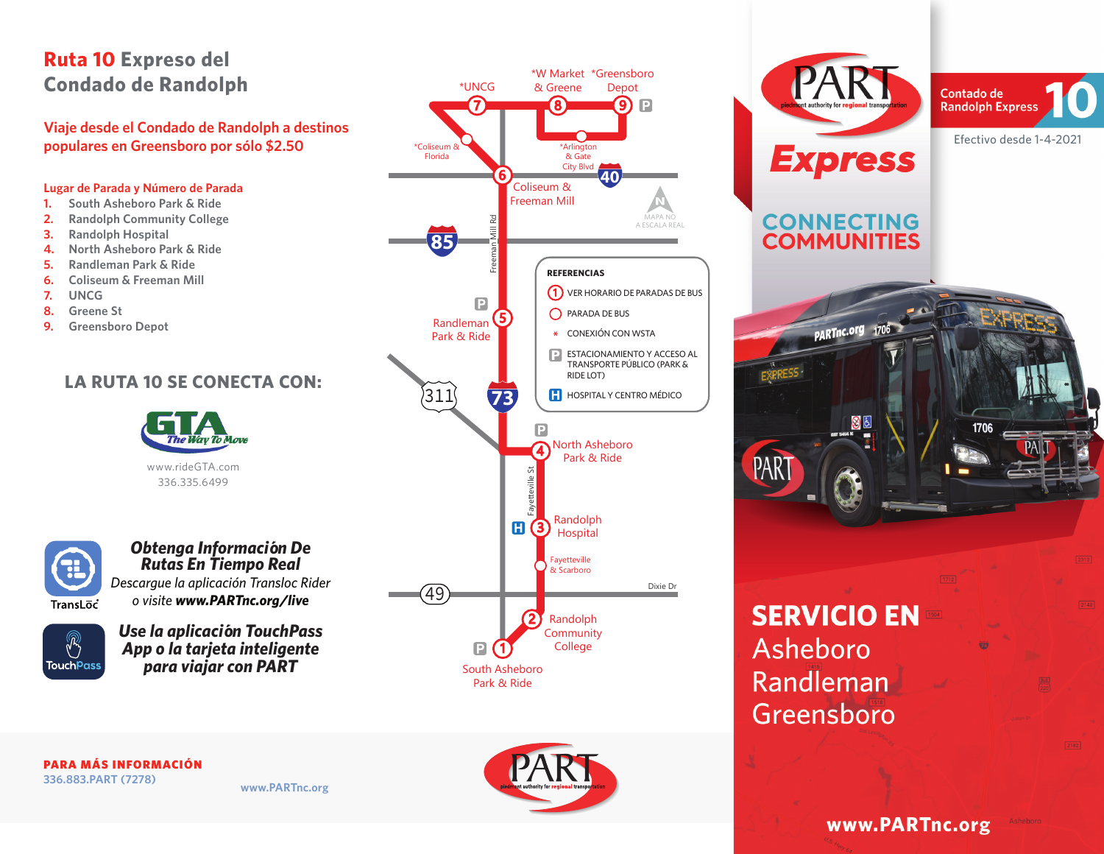# **Ruta 10 Expreso del Condado de Randolph**

**Viaje desde el Condado de Randolph a destinos** 

#### **Lugar de Parada y Número de Parada**

- **1. South Asheboro Park & Ride**
- **2. Randolph Community College**
- **3. Randolph Hospital**
- **4. North Asheboro Park & Ride**
- **5. Randleman Park & Ride**
- **6. Coliseum & Freeman Mill**
- **7. UNCG**
- **8. Greene St**
- **9. Greensboro Depot**

## **LA RUTA 10 SE CONECTA CON:**





*Obtenga Información De Rutas En Tiempo Real Descargue la aplicación Transloc Rider o visite www.PARTnc.org/live*



*Use la aplicación TouchPass App o la tarjeta inteligente para viajar con PART*



1706 **SERVICIO EN** Asheboro Randleman Greensboro

**CONNECTING**<br>**COMMUNITIES** 

PARTnc.org 1706



 $2148$ 

www.PARTnc.org

PARA MÁS INFORMACIÓN **336.883.PART (7278)**

**www.PARTnc.org**